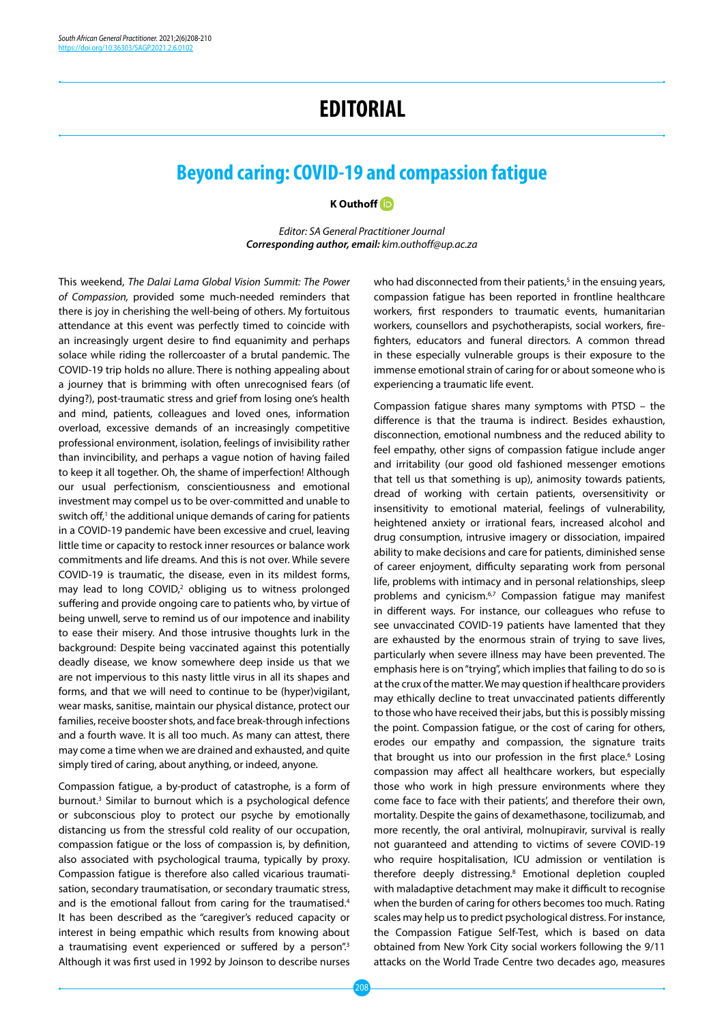## **EDITORIAL**

## **Beyond caring: COVID-19 and compassion fatigue**

**K Outhof[f](https://orcid.org/0000-0002-0851-4802)** 

*Editor: SA General Practitioner Journal Corresponding author, email: kim.outhoff@up.ac.za*

This weekend, *The Dalai Lama Global Vision Summit: The Power of Compassion,* provided some much-needed reminders that there is joy in cherishing the well-being of others. My fortuitous attendance at this event was perfectly timed to coincide with an increasingly urgent desire to find equanimity and perhaps solace while riding the rollercoaster of a brutal pandemic. The COVID-19 trip holds no allure. There is nothing appealing about a journey that is brimming with often unrecognised fears (of dying?), post-traumatic stress and grief from losing one's health and mind, patients, colleagues and loved ones, information overload, excessive demands of an increasingly competitive professional environment, isolation, feelings of invisibility rather than invincibility, and perhaps a vague notion of having failed to keep it all together. Oh, the shame of imperfection! Although our usual perfectionism, conscientiousness and emotional investment may compel us to be over‐committed and unable to switch off, $1$  the additional unique demands of caring for patients in a COVID-19 pandemic have been excessive and cruel, leaving little time or capacity to restock inner resources or balance work commitments and life dreams. And this is not over. While severe COVID-19 is traumatic, the disease, even in its mildest forms, may lead to long COVID,<sup>2</sup> obliging us to witness prolonged suffering and provide ongoing care to patients who, by virtue of being unwell, serve to remind us of our impotence and inability to ease their misery. And those intrusive thoughts lurk in the background: Despite being vaccinated against this potentially deadly disease, we know somewhere deep inside us that we are not impervious to this nasty little virus in all its shapes and forms, and that we will need to continue to be (hyper)vigilant, wear masks, sanitise, maintain our physical distance, protect our families, receive booster shots, and face break-through infections and a fourth wave. It is all too much. As many can attest, there may come a time when we are drained and exhausted, and quite simply tired of caring, about anything, or indeed, anyone.

Compassion fatigue, a by-product of catastrophe, is a form of burnout.3 Similar to burnout which is a psychological defence or subconscious ploy to protect our psyche by emotionally distancing us from the stressful cold reality of our occupation, compassion fatigue or the loss of compassion is, by definition, also associated with psychological trauma, typically by proxy. Compassion fatigue is therefore also called vicarious traumatisation, secondary traumatisation, or secondary traumatic stress, and is the emotional fallout from caring for the traumatised.<sup>4</sup> It has been described as the "caregiver's reduced capacity or interest in being empathic which results from knowing about a traumatising event experienced or suffered by a person".<sup>3</sup> Although it was first used in 1992 by Joinson to describe nurses

who had disconnected from their patients, $5$  in the ensuing years, compassion fatigue has been reported in frontline healthcare workers, first responders to traumatic events, humanitarian workers, counsellors and psychotherapists, social workers, firefighters, educators and funeral directors. A common thread in these especially vulnerable groups is their exposure to the immense emotional strain of caring for or about someone who is experiencing a traumatic life event.

Compassion fatigue shares many symptoms with PTSD – the difference is that the trauma is indirect. Besides exhaustion, disconnection, emotional numbness and the reduced ability to feel empathy, other signs of compassion fatigue include anger and irritability (our good old fashioned messenger emotions that tell us that something is up), animosity towards patients, dread of working with certain patients, oversensitivity or insensitivity to emotional material, feelings of vulnerability, heightened anxiety or irrational fears, increased alcohol and drug consumption, intrusive imagery or dissociation, impaired ability to make decisions and care for patients, diminished sense of career enjoyment, difficulty separating work from personal life, problems with intimacy and in personal relationships, sleep problems and cynicism.<sup>6,7</sup> Compassion fatique may manifest in different ways. For instance, our colleagues who refuse to see unvaccinated COVID-19 patients have lamented that they are exhausted by the enormous strain of trying to save lives, particularly when severe illness may have been prevented. The emphasis here is on "trying", which implies that failing to do so is at the crux of the matter. We may question if healthcare providers may ethically decline to treat unvaccinated patients differently to those who have received their jabs, but this is possibly missing the point. Compassion fatigue, or the cost of caring for others, erodes our empathy and compassion, the signature traits that brought us into our profession in the first place.<sup>6</sup> Losing compassion may affect all healthcare workers, but especially those who work in high pressure environments where they come face to face with their patients', and therefore their own, mortality. Despite the gains of dexamethasone, tocilizumab, and more recently, the oral antiviral, molnupiravir, survival is really not guaranteed and attending to victims of severe COVID-19 who require hospitalisation, ICU admission or ventilation is therefore deeply distressing.8 Emotional depletion coupled with maladaptive detachment may make it difficult to recognise when the burden of caring for others becomes too much. Rating scales may help us to predict psychological distress. For instance, the Compassion Fatigue Self-Test, which is based on data obtained from New York City social workers following the 9/11 attacks on the World Trade Centre two decades ago, measures